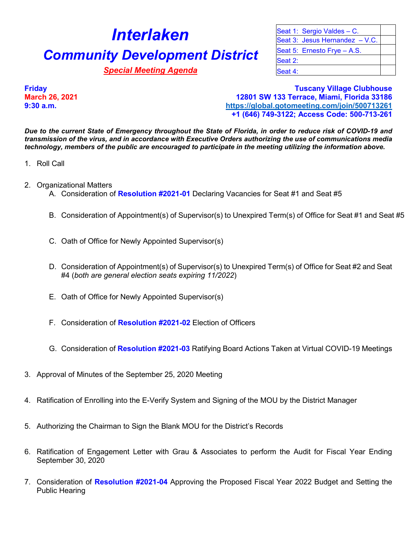## **Interlaken** Seat 1: Sergio Valdes – C. **Community Development District** Seat 5: Ernesto Frye – A.S.

**Special Meeting Agenda Special Meeting Agenda Seat 4:** 

Seat 3: Jesus Hernandez – V.C. Seat 2:

**Friday Tuscany Village Clubhouse March 26, 2021 12801 SW 133 Terrace, Miami, Florida 33186 9:30 a.m. <https://global.gotomeeting.com/join/500713261> +1 (646) 749-3122; Access Code: 500-713-261**

*Due to the current State of Emergency throughout the State of Florida, in order to reduce risk of COVID-19 and transmission of the virus, and in accordance with Executive Orders authorizing the use of communications media technology, members of the public are encouraged to participate in the meeting utilizing the information above.*

- 1. Roll Call
- 2. Organizational Matters
	- A. Consideration of **Resolution #2021-01** Declaring Vacancies for Seat #1 and Seat #5
	- B. Consideration of Appointment(s) of Supervisor(s) to Unexpired Term(s) of Office for Seat #1 and Seat #5
	- C. Oath of Office for Newly Appointed Supervisor(s)
	- D. Consideration of Appointment(s) of Supervisor(s) to Unexpired Term(s) of Office for Seat #2 and Seat #4 (*both are general election seats expiring 11/2022*)
	- E. Oath of Office for Newly Appointed Supervisor(s)
	- F. Consideration of **Resolution #2021-02** Election of Officers
	- G. Consideration of **Resolution #2021-03** Ratifying Board Actions Taken at Virtual COVID-19 Meetings
- 3. Approval of Minutes of the September 25, 2020 Meeting
- 4. Ratification of Enrolling into the E-Verify System and Signing of the MOU by the District Manager
- 5. Authorizing the Chairman to Sign the Blank MOU for the District's Records
- 6. Ratification of Engagement Letter with Grau & Associates to perform the Audit for Fiscal Year Ending September 30, 2020
- 7. Consideration of **Resolution #2021-04** Approving the Proposed Fiscal Year 2022 Budget and Setting the Public Hearing